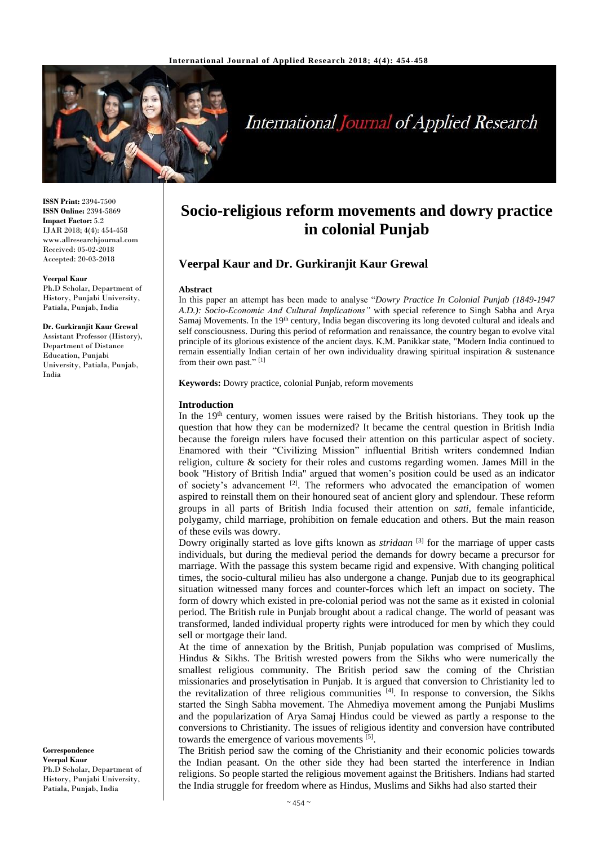

# **International Journal of Applied Research**

**ISSN Print:** 2394-7500 **ISSN Online:** 2394-5869 **Impact Factor:** 5.2 IJAR 2018; 4(4): 454-458 www.allresearchjournal.com Received: 05-02-2018 Accepted: 20-03-2018

#### **Veerpal Kaur**

Ph.D Scholar, Department of History, Punjabi University, Patiala, Punjab, India

## **Dr. Gurkiranjit Kaur Grewal**

Assistant Professor (History), Department of Distance Education, Punjabi University, Patiala, Punjab, India

**Correspondence Veerpal Kaur** Ph.D Scholar, Department of History, Punjabi University, Patiala, Punjab, India

## **Socio-religious reform movements and dowry practice in colonial Punjab**

## **Veerpal Kaur and Dr. Gurkiranjit Kaur Grewal**

### **Abstract**

In this paper an attempt has been made to analyse "*Dowry Practice In Colonial Punjab (1849-1947 A.D.): Socio-Economic And Cultural Implications"* with special reference to Singh Sabha and Arya Samaj Movements. In the 19<sup>th</sup> century, India began discovering its long devoted cultural and ideals and self consciousness. During this period of reformation and renaissance, the country began to evolve vital principle of its glorious existence of the ancient days. K.M. Panikkar state, "Modern India continued to remain essentially Indian certain of her own individuality drawing spiritual inspiration & sustenance from their own past."<sup>[1]</sup>

**Keywords:** Dowry practice, colonial Punjab, reform movements

### **Introduction**

In the 19<sup>th</sup> century, women issues were raised by the British historians. They took up the question that how they can be modernized? It became the central question in British India because the foreign rulers have focused their attention on this particular aspect of society. Enamored with their "Civilizing Mission" influential British writers condemned Indian religion, culture & society for their roles and customs regarding women. James Mill in the book "History of British India" argued that women's position could be used as an indicator of society's advancement <sup>[2]</sup>. The reformers who advocated the emancipation of women aspired to reinstall them on their honoured seat of ancient glory and splendour. These reform groups in all parts of British India focused their attention on *sati,* female infanticide, polygamy, child marriage, prohibition on female education and others. But the main reason of these evils was dowry.

Dowry originally started as love gifts known as *stridaan* [3] for the marriage of upper casts individuals, but during the medieval period the demands for dowry became a precursor for marriage. With the passage this system became rigid and expensive. With changing political times, the socio-cultural milieu has also undergone a change. Punjab due to its geographical situation witnessed many forces and counter-forces which left an impact on society. The form of dowry which existed in pre-colonial period was not the same as it existed in colonial period. The British rule in Punjab brought about a radical change. The world of peasant was transformed, landed individual property rights were introduced for men by which they could sell or mortgage their land.

At the time of annexation by the British, Punjab population was comprised of Muslims, Hindus & Sikhs. The British wrested powers from the Sikhs who were numerically the smallest religious community. The British period saw the coming of the Christian missionaries and proselytisation in Punjab. It is argued that conversion to Christianity led to the revitalization of three religious communities  $[4]$ . In response to conversion, the Sikhs started the Singh Sabha movement. The Ahmediya movement among the Punjabi Muslims and the popularization of Arya Samaj Hindus could be viewed as partly a response to the conversions to Christianity. The issues of religious identity and conversion have contributed towards the emergence of various movements <sup>[5]</sup>.

The British period saw the coming of the Christianity and their economic policies towards the Indian peasant. On the other side they had been started the interference in Indian religions. So people started the religious movement against the Britishers. Indians had started the India struggle for freedom where as Hindus, Muslims and Sikhs had also started their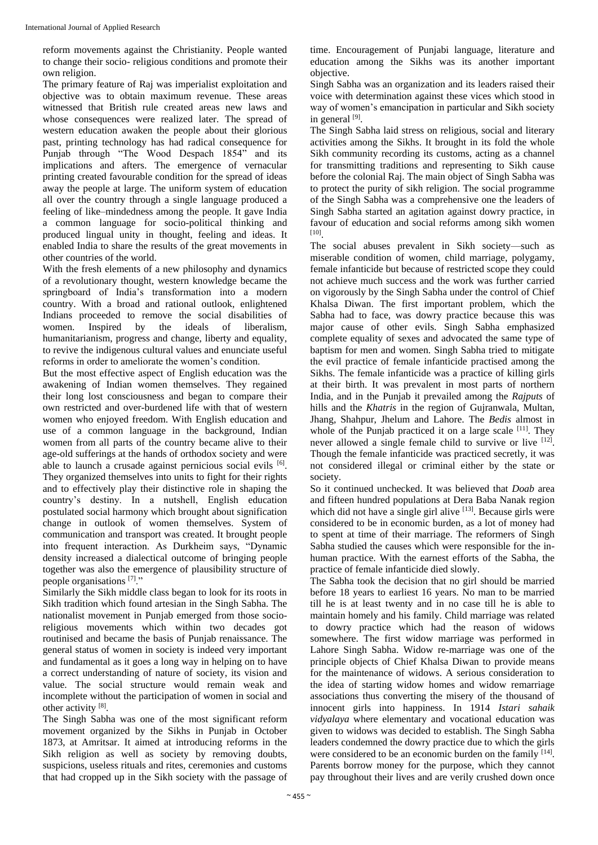reform movements against the Christianity. People wanted to change their socio- religious conditions and promote their own religion.

The primary feature of Raj was imperialist exploitation and objective was to obtain maximum revenue. These areas witnessed that British rule created areas new laws and whose consequences were realized later. The spread of western education awaken the people about their glorious past, printing technology has had radical consequence for Punjab through "The Wood Despach 1854" and its implications and afters. The emergence of vernacular printing created favourable condition for the spread of ideas away the people at large. The uniform system of education all over the country through a single language produced a feeling of like–mindedness among the people. It gave India a common language for socio-political thinking and produced lingual unity in thought, feeling and ideas. It enabled India to share the results of the great movements in other countries of the world.

With the fresh elements of a new philosophy and dynamics of a revolutionary thought, western knowledge became the springboard of India's transformation into a modern country. With a broad and rational outlook, enlightened Indians proceeded to remove the social disabilities of women. Inspired by the ideals of liberalism, humanitarianism, progress and change, liberty and equality, to revive the indigenous cultural values and enunciate useful reforms in order to ameliorate the women's condition.

But the most effective aspect of English education was the awakening of Indian women themselves. They regained their long lost consciousness and began to compare their own restricted and over-burdened life with that of western women who enjoyed freedom. With English education and use of a common language in the background, Indian women from all parts of the country became alive to their age-old sufferings at the hands of orthodox society and were able to launch a crusade against pernicious social evils [6]. They organized themselves into units to fight for their rights and to effectively play their distinctive role in shaping the country's destiny. In a nutshell, English education postulated social harmony which brought about signification change in outlook of women themselves. System of communication and transport was created. It brought people into frequent interaction. As Durkheim says, "Dynamic density increased a dialectical outcome of bringing people together was also the emergence of plausibility structure of people organisations [7]."

Similarly the Sikh middle class began to look for its roots in Sikh tradition which found artesian in the Singh Sabha. The nationalist movement in Punjab emerged from those socioreligious movements which within two decades got routinised and became the basis of Punjab renaissance. The general status of women in society is indeed very important and fundamental as it goes a long way in helping on to have a correct understanding of nature of society, its vision and value. The social structure would remain weak and incomplete without the participation of women in social and other activity [8].

The Singh Sabha was one of the most significant reform movement organized by the Sikhs in Punjab in October 1873, at Amritsar. It aimed at introducing reforms in the Sikh religion as well as society by removing doubts, suspicions, useless rituals and rites, ceremonies and customs that had cropped up in the Sikh society with the passage of

time. Encouragement of Punjabi language, literature and education among the Sikhs was its another important objective.

Singh Sabha was an organization and its leaders raised their voice with determination against these vices which stood in way of women's emancipation in particular and Sikh society in general [9].

The Singh Sabha laid stress on religious, social and literary activities among the Sikhs. It brought in its fold the whole Sikh community recording its customs, acting as a channel for transmitting traditions and representing to Sikh cause before the colonial Raj. The main object of Singh Sabha was to protect the purity of sikh religion. The social programme of the Singh Sabha was a comprehensive one the leaders of Singh Sabha started an agitation against dowry practice, in favour of education and social reforms among sikh women [10] .

The social abuses prevalent in Sikh society—such as miserable condition of women, child marriage, polygamy, female infanticide but because of restricted scope they could not achieve much success and the work was further carried on vigorously by the Singh Sabha under the control of Chief Khalsa Diwan. The first important problem, which the Sabha had to face, was dowry practice because this was major cause of other evils. Singh Sabha emphasized complete equality of sexes and advocated the same type of baptism for men and women. Singh Sabha tried to mitigate the evil practice of female infanticide practised among the Sikhs. The female infanticide was a practice of killing girls at their birth. It was prevalent in most parts of northern India, and in the Punjab it prevailed among the *Rajputs* of hills and the *Khatris* in the region of Gujranwala, Multan, Jhang, Shahpur, Jhelum and Lahore. The *Bedis* almost in whole of the Punjab practiced it on a large scale [11]. They never allowed a single female child to survive or live [12]. Though the female infanticide was practiced secretly, it was not considered illegal or criminal either by the state or society.

So it continued unchecked. It was believed that *Doab* area and fifteen hundred populations at Dera Baba Nanak region which did not have a single girl alive [13]. Because girls were considered to be in economic burden, as a lot of money had to spent at time of their marriage. The reformers of Singh Sabha studied the causes which were responsible for the inhuman practice. With the earnest efforts of the Sabha, the practice of female infanticide died slowly.

The Sabha took the decision that no girl should be married before 18 years to earliest 16 years. No man to be married till he is at least twenty and in no case till he is able to maintain homely and his family. Child marriage was related to dowry practice which had the reason of widows somewhere. The first widow marriage was performed in Lahore Singh Sabha. Widow re-marriage was one of the principle objects of Chief Khalsa Diwan to provide means for the maintenance of widows. A serious consideration to the idea of starting widow homes and widow remarriage associations thus converting the misery of the thousand of innocent girls into happiness. In 1914 *Istari sahaik vidyalaya* where elementary and vocational education was given to widows was decided to establish. The Singh Sabha leaders condemned the dowry practice due to which the girls were considered to be an economic burden on the family [14]. Parents borrow money for the purpose, which they cannot pay throughout their lives and are verily crushed down once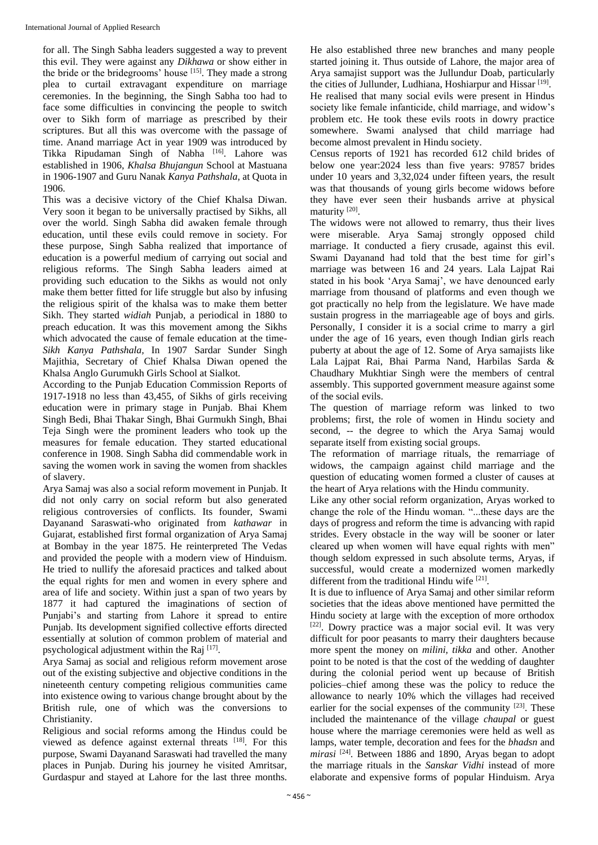for all. The Singh Sabha leaders suggested a way to prevent this evil. They were against any *Dikhawa* or show either in the bride or the bridegrooms' house [15]. They made a strong plea to curtail extravagant expenditure on marriage ceremonies. In the beginning, the Singh Sabha too had to face some difficulties in convincing the people to switch over to Sikh form of marriage as prescribed by their scriptures. But all this was overcome with the passage of time. Anand marriage Act in year 1909 was introduced by Tikka Ripudaman Singh of Nabha <a>[16]</a>. Lahore was established in 1906, *Khalsa Bhujangun* School at Mastuana in 1906-1907 and Guru Nanak *Kanya Pathshala*, at Quota in 1906.

This was a decisive victory of the Chief Khalsa Diwan. Very soon it began to be universally practised by Sikhs, all over the world. Singh Sabha did awaken female through education, until these evils could remove in society. For these purpose, Singh Sabha realized that importance of education is a powerful medium of carrying out social and religious reforms. The Singh Sabha leaders aimed at providing such education to the Sikhs as would not only make them better fitted for life struggle but also by infusing the religious spirit of the khalsa was to make them better Sikh. They started *widiah* Punjab, a periodical in 1880 to preach education. It was this movement among the Sikhs which advocated the cause of female education at the time-*Sikh Kanya Pathshala,* In 1907 Sardar Sunder Singh Majithia, Secretary of Chief Khalsa Diwan opened the Khalsa Anglo Gurumukh Girls School at Sialkot.

According to the Punjab Education Commission Reports of 1917-1918 no less than 43,455, of Sikhs of girls receiving education were in primary stage in Punjab. Bhai Khem Singh Bedi, Bhai Thakar Singh, Bhai Gurmukh Singh, Bhai Teja Singh were the prominent leaders who took up the measures for female education. They started educational conference in 1908. Singh Sabha did commendable work in saving the women work in saving the women from shackles of slavery.

Arya Samaj was also a social reform movement in Punjab. It did not only carry on social reform but also generated religious controversies of conflicts. Its founder, Swami Dayanand Saraswati-who originated from *kathawar* in Gujarat, established first formal organization of Arya Samaj at Bombay in the year 1875. He reinterpreted The Vedas and provided the people with a modern view of Hinduism. He tried to nullify the aforesaid practices and talked about the equal rights for men and women in every sphere and area of life and society. Within just a span of two years by 1877 it had captured the imaginations of section of Punjabi's and starting from Lahore it spread to entire Punjab. Its development signified collective efforts directed essentially at solution of common problem of material and psychological adjustment within the Raj [17].

Arya Samaj as social and religious reform movement arose out of the existing subjective and objective conditions in the nineteenth century competing religious communities came into existence owing to various change brought about by the British rule, one of which was the conversions to Christianity.

Religious and social reforms among the Hindus could be viewed as defence against external threats [18]. For this purpose, Swami Dayanand Saraswati had travelled the many places in Punjab. During his journey he visited Amritsar, Gurdaspur and stayed at Lahore for the last three months.

He also established three new branches and many people started joining it. Thus outside of Lahore, the major area of Arya samajist support was the Jullundur Doab, particularly the cities of Jullunder, Ludhiana, Hoshiarpur and Hissar<sup>[19]</sup>.

He realised that many social evils were present in Hindus society like female infanticide, child marriage, and widow's problem etc. He took these evils roots in dowry practice somewhere. Swami analysed that child marriage had become almost prevalent in Hindu society.

Census reports of 1921 has recorded 612 child brides of below one year:2024 less than five years: 97857 brides under 10 years and 3,32,024 under fifteen years, the result was that thousands of young girls become widows before they have ever seen their husbands arrive at physical maturity<sup>[20]</sup>.

The widows were not allowed to remarry, thus their lives were miserable. Arya Samaj strongly opposed child marriage. It conducted a fiery crusade, against this evil. Swami Dayanand had told that the best time for girl's marriage was between 16 and 24 years. Lala Lajpat Rai stated in his book 'Arya Samaj', we have denounced early marriage from thousand of platforms and even though we got practically no help from the legislature. We have made sustain progress in the marriageable age of boys and girls. Personally, I consider it is a social crime to marry a girl under the age of 16 years, even though Indian girls reach puberty at about the age of 12. Some of Arya samajists like Lala Lajpat Rai, Bhai Parma Nand, Harbilas Sarda & Chaudhary Mukhtiar Singh were the members of central assembly. This supported government measure against some of the social evils.

The question of marriage reform was linked to two problems; first, the role of women in Hindu society and second, -- the degree to which the Arya Samaj would separate itself from existing social groups.

The reformation of marriage rituals, the remarriage of widows, the campaign against child marriage and the question of educating women formed a cluster of causes at the heart of Arya relations with the Hindu community.

Like any other social reform organization, Aryas worked to change the role of the Hindu woman. "...these days are the days of progress and reform the time is advancing with rapid strides. Every obstacle in the way will be sooner or later cleared up when women will have equal rights with men" though seldom expressed in such absolute terms, Aryas, if successful, would create a modernized women markedly different from the traditional Hindu wife [21].

It is due to influence of Arya Samaj and other similar reform societies that the ideas above mentioned have permitted the Hindu society at large with the exception of more orthodox [22]. Dowry practice was a major social evil. It was very difficult for poor peasants to marry their daughters because more spent the money on *milini, tikka* and other. Another point to be noted is that the cost of the wedding of daughter during the colonial period went up because of British policies–chief among these was the policy to reduce the allowance to nearly 10% which the villages had received earlier for the social expenses of the community <sup>[23]</sup>. These included the maintenance of the village *chaupal* or guest house where the marriage ceremonies were held as well as lamps, water temple, decoration and fees for the *bhadsn* and mirasi<sup>[24]</sup>. Between 1886 and 1890, Aryas began to adopt the marriage rituals in the *Sanskar Vidhi* instead of more elaborate and expensive forms of popular Hinduism. Arya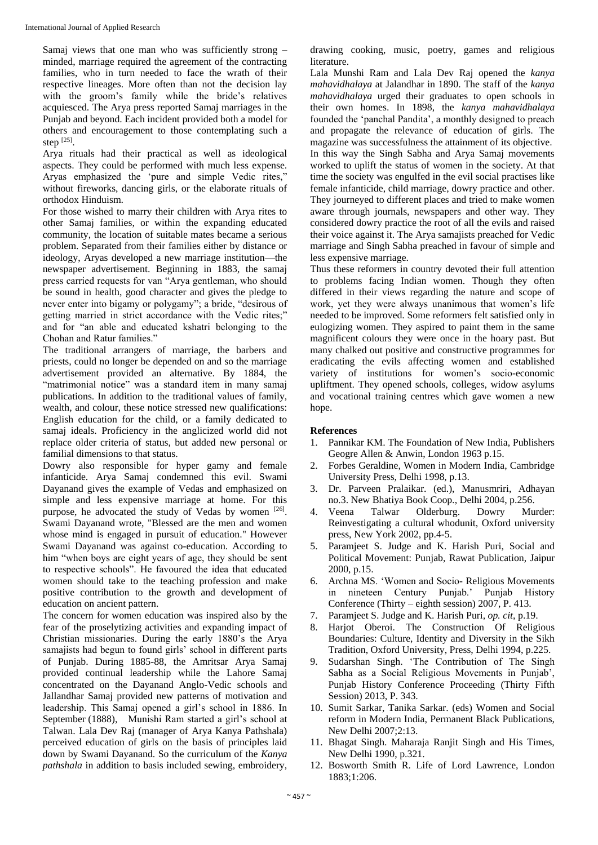Samaj views that one man who was sufficiently strong – minded, marriage required the agreement of the contracting families, who in turn needed to face the wrath of their respective lineages. More often than not the decision lay with the groom's family while the bride's relatives acquiesced. The Arya press reported Samaj marriages in the Punjab and beyond. Each incident provided both a model for others and encouragement to those contemplating such a step [25].

Arya rituals had their practical as well as ideological aspects. They could be performed with much less expense. Aryas emphasized the 'pure and simple Vedic rites," without fireworks, dancing girls, or the elaborate rituals of orthodox Hinduism.

For those wished to marry their children with Arya rites to other Samaj families, or within the expanding educated community, the location of suitable mates became a serious problem. Separated from their families either by distance or ideology, Aryas developed a new marriage institution—the newspaper advertisement. Beginning in 1883, the samaj press carried requests for van "Arya gentleman, who should be sound in health, good character and gives the pledge to never enter into bigamy or polygamy"; a bride, "desirous of getting married in strict accordance with the Vedic rites;" and for "an able and educated kshatri belonging to the Chohan and Ratur families."

The traditional arrangers of marriage, the barbers and priests, could no longer be depended on and so the marriage advertisement provided an alternative. By 1884, the "matrimonial notice" was a standard item in many samaj publications. In addition to the traditional values of family, wealth, and colour, these notice stressed new qualifications: English education for the child, or a family dedicated to samaj ideals. Proficiency in the anglicized world did not replace older criteria of status, but added new personal or familial dimensions to that status.

Dowry also responsible for hyper gamy and female infanticide. Arya Samaj condemned this evil. Swami Dayanand gives the example of Vedas and emphasized on simple and less expensive marriage at home. For this purpose, he advocated the study of Vedas by women  $[26]$ . Swami Dayanand wrote, "Blessed are the men and women whose mind is engaged in pursuit of education." However Swami Dayanand was against co-education. According to him "when boys are eight years of age, they should be sent to respective schools". He favoured the idea that educated women should take to the teaching profession and make positive contribution to the growth and development of education on ancient pattern.

The concern for women education was inspired also by the fear of the proselytizing activities and expanding impact of Christian missionaries. During the early 1880's the Arya samajists had begun to found girls' school in different parts of Punjab. During 1885-88, the Amritsar Arya Samaj provided continual leadership while the Lahore Samaj concentrated on the Dayanand Anglo-Vedic schools and Jallandhar Samaj provided new patterns of motivation and leadership. This Samaj opened a girl's school in 1886. In September (1888), Munishi Ram started a girl's school at Talwan. Lala Dev Raj (manager of Arya Kanya Pathshala) perceived education of girls on the basis of principles laid down by Swami Dayanand. So the curriculum of the *Kanya pathshala* in addition to basis included sewing, embroidery, drawing cooking, music, poetry, games and religious literature.

Lala Munshi Ram and Lala Dev Raj opened the *kanya mahavidhalaya* at Jalandhar in 1890. The staff of the *kanya mahavidhalaya* urged their graduates to open schools in their own homes. In 1898, the *kanya mahavidhalaya* founded the 'panchal Pandita', a monthly designed to preach and propagate the relevance of education of girls. The magazine was successfulness the attainment of its objective.

In this way the Singh Sabha and Arya Samaj movements worked to uplift the status of women in the society. At that time the society was engulfed in the evil social practises like female infanticide, child marriage, dowry practice and other. They journeyed to different places and tried to make women aware through journals, newspapers and other way. They considered dowry practice the root of all the evils and raised their voice against it. The Arya samajists preached for Vedic marriage and Singh Sabha preached in favour of simple and less expensive marriage.

Thus these reformers in country devoted their full attention to problems facing Indian women. Though they often differed in their views regarding the nature and scope of work, yet they were always unanimous that women's life needed to be improved. Some reformers felt satisfied only in eulogizing women. They aspired to paint them in the same magnificent colours they were once in the hoary past. But many chalked out positive and constructive programmes for eradicating the evils affecting women and established variety of institutions for women's socio-economic upliftment. They opened schools, colleges, widow asylums and vocational training centres which gave women a new hope.

## **References**

- 1. Pannikar KM. The Foundation of New India, Publishers Geogre Allen & Anwin, London 1963 p.15.
- 2. Forbes Geraldine, Women in Modern India, Cambridge University Press, Delhi 1998, p.13.
- 3. Dr. Parveen Pralaikar. (ed.), Manusmriri, Adhayan no.3. New Bhatiya Book Coop., Delhi 2004, p.256.
- 4. Veena Talwar Olderburg. Dowry Murder: Reinvestigating a cultural whodunit, Oxford university press, New York 2002, pp.4-5.
- 5. Paramjeet S. Judge and K. Harish Puri, Social and Political Movement: Punjab, Rawat Publication, Jaipur 2000, p.15.
- 6. Archna MS. 'Women and Socio- Religious Movements in nineteen Century Punjab.' Punjab History Conference (Thirty – eighth session) 2007, P. 413.
- 7. Paramjeet S. Judge and K. Harish Puri, *op. cit*, p.19.
- 8. Harjot Oberoi. The Construction Of Religious Boundaries: Culture, Identity and Diversity in the Sikh Tradition, Oxford University, Press, Delhi 1994, p.225.
- 9. Sudarshan Singh. 'The Contribution of The Singh Sabha as a Social Religious Movements in Punjab', Punjab History Conference Proceeding (Thirty Fifth Session) 2013, P. 343.
- 10. Sumit Sarkar, Tanika Sarkar. (eds) Women and Social reform in Modern India, Permanent Black Publications, New Delhi 2007;2:13.
- 11. Bhagat Singh. Maharaja Ranjit Singh and His Times, New Delhi 1990, p.321.
- 12. Bosworth Smith R. Life of Lord Lawrence, London 1883;1:206.